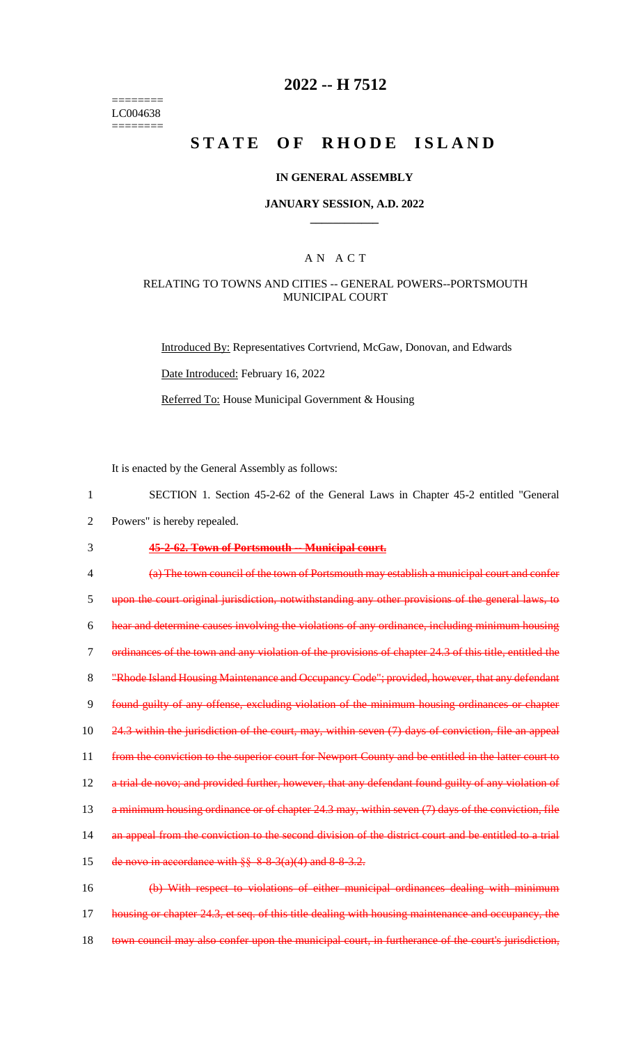======== LC004638 ========

### **2022 -- H 7512**

# **STATE OF RHODE ISLAND**

#### **IN GENERAL ASSEMBLY**

#### **JANUARY SESSION, A.D. 2022 \_\_\_\_\_\_\_\_\_\_\_\_**

### A N A C T

#### RELATING TO TOWNS AND CITIES -- GENERAL POWERS--PORTSMOUTH MUNICIPAL COURT

Introduced By: Representatives Cortvriend, McGaw, Donovan, and Edwards Date Introduced: February 16, 2022 Referred To: House Municipal Government & Housing

It is enacted by the General Assembly as follows:

- 1 SECTION 1. Section 45-2-62 of the General Laws in Chapter 45-2 entitled "General
- 2 Powers" is hereby repealed.

### 3 **45-2-62. Town of Portsmouth -- Municipal court.**

4 (a) The town council of the town of Portsmouth may establish a municipal court and confer 5 upon the court original jurisdiction, notwithstanding any other provisions of the general laws, to 6 hear and determine causes involving the violations of any ordinance, including minimum housing 7 ordinances of the town and any violation of the provisions of chapter 24.3 of this title, entitled the 8 "Rhode Island Housing Maintenance and Occupancy Code"; provided, however, that any defendant 9 found guilty of any offense, excluding violation of the minimum housing ordinances or chapter 10 24.3 within the jurisdiction of the court, may, within seven (7) days of conviction, file an appeal 11 from the conviction to the superior court for Newport County and be entitled in the latter court to 12 a trial de novo; and provided further, however, that any defendant found guilty of any violation of 13 a minimum housing ordinance or of chapter 24.3 may, within seven (7) days of the conviction, file 14 an appeal from the conviction to the second division of the district court and be entitled to a trial 15 de novo in accordance with  $\S$ § 8-8-3(a)(4) and 8-8-3.2. 16 (b) With respect to violations of either municipal ordinances dealing with minimum 17 housing or chapter 24.3, et seq. of this title dealing with housing maintenance and occupancy, the

18 town council may also confer upon the municipal court, in furtherance of the court's jurisdiction,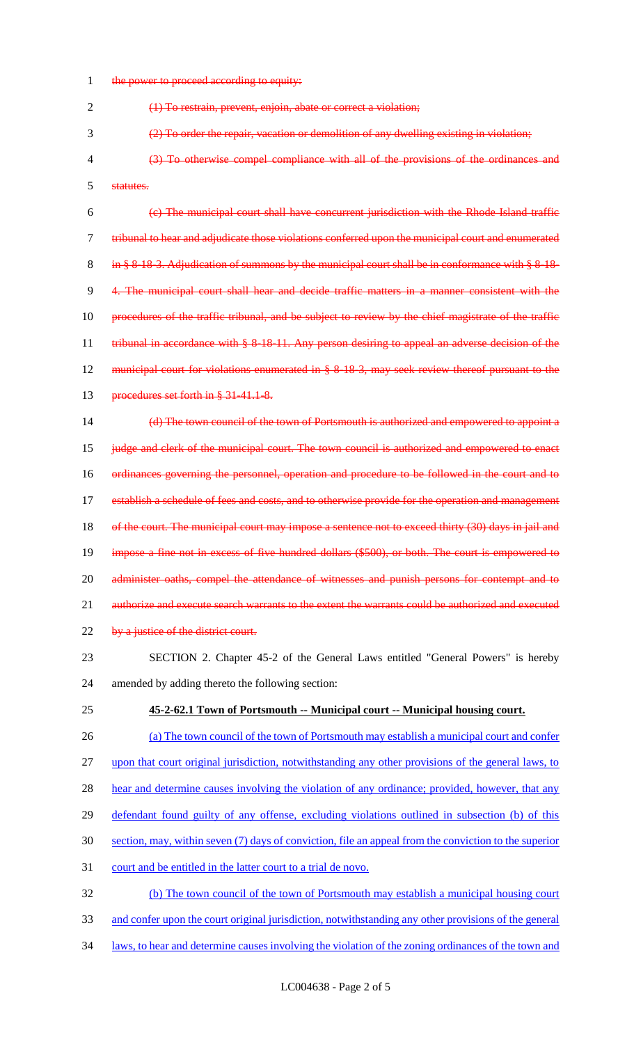1 the power to proceed according to equity:

(1) To restrain, prevent, enjoin, abate or correct a violation;

- (2) To order the repair, vacation or demolition of any dwelling existing in violation;
- (3) To otherwise compel compliance with all of the provisions of the ordinances and statutes.

 (c) The municipal court shall have concurrent jurisdiction with the Rhode Island traffic tribunal to hear and adjudicate those violations conferred upon the municipal court and enumerated 8 in § 8-18-3. Adjudication of summons by the municipal court shall be in conformance with § 8-18- 4. The municipal court shall hear and decide traffic matters in a manner consistent with the procedures of the traffic tribunal, and be subject to review by the chief magistrate of the traffic 11 tribunal in accordance with § 8-18-11. Any person desiring to appeal an adverse decision of the municipal court for violations enumerated in § 8-18-3, may seek review thereof pursuant to the 13 procedures set forth in § 31-41.1-8.

 (d) The town council of the town of Portsmouth is authorized and empowered to appoint a 15 judge and clerk of the municipal court. The town council is authorized and empowered to enact ordinances governing the personnel, operation and procedure to be followed in the court and to 17 establish a schedule of fees and costs, and to otherwise provide for the operation and management 18 of the court. The municipal court may impose a sentence not to exceed thirty (30) days in jail and impose a fine not in excess of five hundred dollars (\$500), or both. The court is empowered to 20 administer oaths, compel the attendance of witnesses and punish persons for contempt and to 21 authorize and execute search warrants to the extent the warrants could be authorized and executed 22 by a justice of the district court.

- SECTION 2. Chapter 45-2 of the General Laws entitled "General Powers" is hereby amended by adding thereto the following section:
- **45-2-62.1 Town of Portsmouth -- Municipal court -- Municipal housing court.**
- 26 (a) The town council of the town of Portsmouth may establish a municipal court and confer upon that court original jurisdiction, notwithstanding any other provisions of the general laws, to 28 hear and determine causes involving the violation of any ordinance; provided, however, that any defendant found guilty of any offense, excluding violations outlined in subsection (b) of this section, may, within seven (7) days of conviction, file an appeal from the conviction to the superior court and be entitled in the latter court to a trial de novo. (b) The town council of the town of Portsmouth may establish a municipal housing court and confer upon the court original jurisdiction, notwithstanding any other provisions of the general
- laws, to hear and determine causes involving the violation of the zoning ordinances of the town and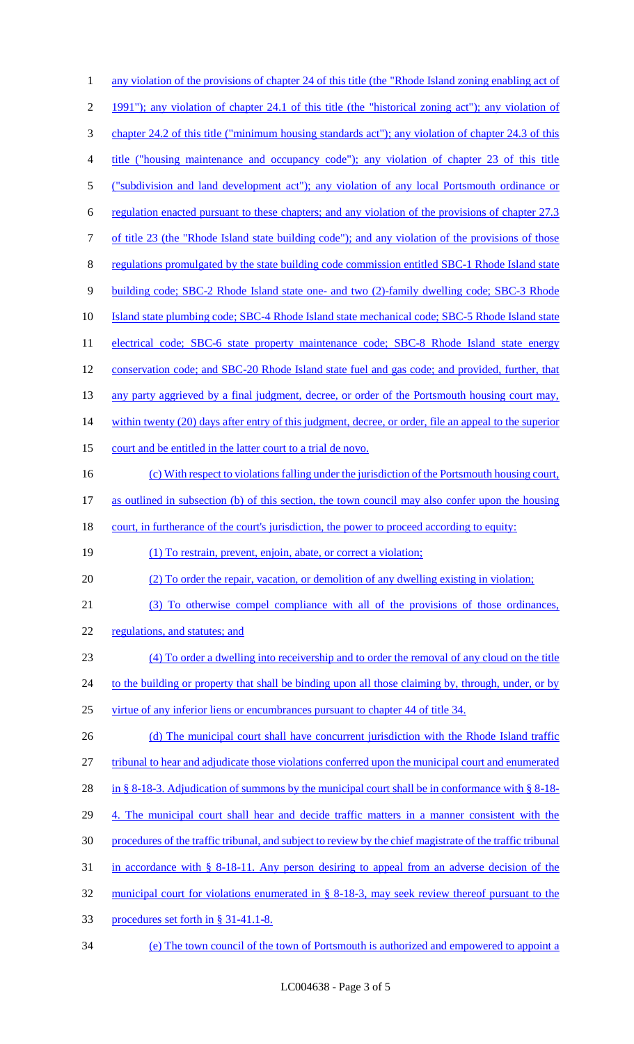| 1              | any violation of the provisions of chapter 24 of this title (the "Rhode Island zoning enabling act of     |
|----------------|-----------------------------------------------------------------------------------------------------------|
| $\overline{2}$ | 1991"); any violation of chapter 24.1 of this title (the "historical zoning act"); any violation of       |
| 3              | chapter 24.2 of this title ("minimum housing standards act"); any violation of chapter 24.3 of this       |
| 4              | title ("housing maintenance and occupancy code"); any violation of chapter 23 of this title               |
| 5              | ("subdivision and land development act"); any violation of any local Portsmouth ordinance or              |
| 6              | regulation enacted pursuant to these chapters; and any violation of the provisions of chapter 27.3        |
| 7              | of title 23 (the "Rhode Island state building code"); and any violation of the provisions of those        |
| 8              | regulations promulgated by the state building code commission entitled SBC-1 Rhode Island state           |
| 9              | building code; SBC-2 Rhode Island state one- and two (2)-family dwelling code; SBC-3 Rhode                |
| 10             | Island state plumbing code; SBC-4 Rhode Island state mechanical code; SBC-5 Rhode Island state            |
| 11             | electrical code; SBC-6 state property maintenance code; SBC-8 Rhode Island state energy                   |
| 12             | conservation code; and SBC-20 Rhode Island state fuel and gas code; and provided, further, that           |
| 13             | any party aggrieved by a final judgment, decree, or order of the Portsmouth housing court may,            |
| 14             | within twenty (20) days after entry of this judgment, decree, or order, file an appeal to the superior    |
| 15             | court and be entitled in the latter court to a trial de novo.                                             |
| 16             | (c) With respect to violations falling under the jurisdiction of the Portsmouth housing court,            |
| 17             | as outlined in subsection (b) of this section, the town council may also confer upon the housing          |
|                |                                                                                                           |
|                | court, in furtherance of the court's jurisdiction, the power to proceed according to equity:              |
|                | (1) To restrain, prevent, enjoin, abate, or correct a violation;                                          |
| 18<br>19<br>20 | (2) To order the repair, vacation, or demolition of any dwelling existing in violation;                   |
| 21             | (3) To otherwise compel compliance with all of the provisions of those ordinances,                        |
| 22             | regulations, and statutes; and                                                                            |
| 23             | (4) To order a dwelling into receivership and to order the removal of any cloud on the title              |
| 24             | to the building or property that shall be binding upon all those claiming by, through, under, or by       |
| 25             | virtue of any inferior liens or encumbrances pursuant to chapter 44 of title 34.                          |
| 26             | (d) The municipal court shall have concurrent jurisdiction with the Rhode Island traffic                  |
| 27             | tribunal to hear and adjudicate those violations conferred upon the municipal court and enumerated        |
| 28             | in § 8-18-3. Adjudication of summons by the municipal court shall be in conformance with § 8-18-          |
| 29             | 4. The municipal court shall hear and decide traffic matters in a manner consistent with the              |
| 30             | procedures of the traffic tribunal, and subject to review by the chief magistrate of the traffic tribunal |
| 31             | in accordance with $\S$ 8-18-11. Any person desiring to appeal from an adverse decision of the            |
| 32             | municipal court for violations enumerated in § 8-18-3, may seek review thereof pursuant to the            |
| 33             | procedures set forth in § 31-41.1-8.                                                                      |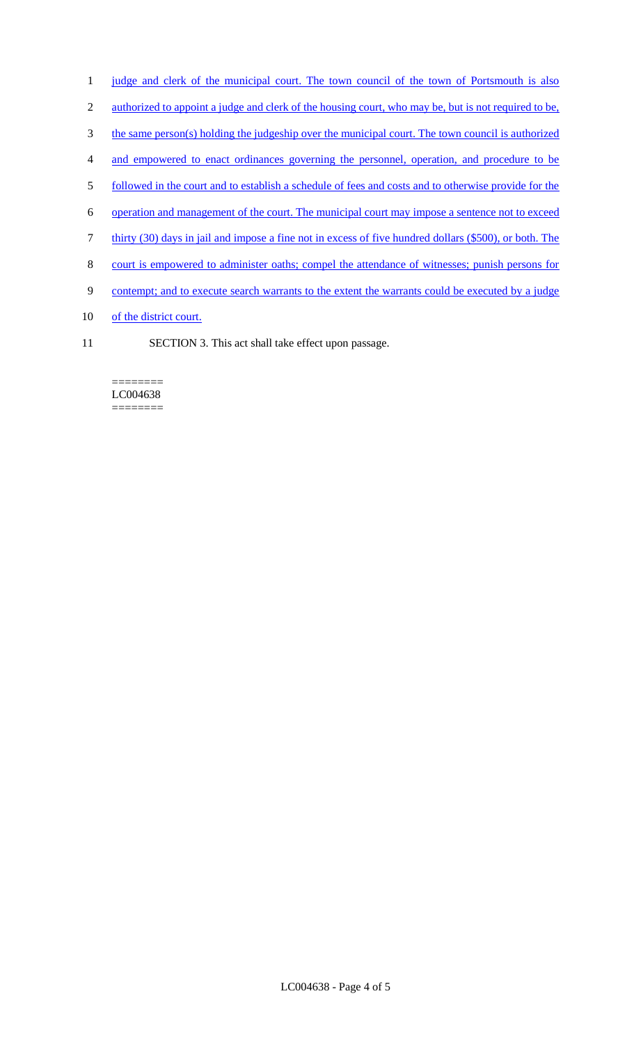- 1 judge and clerk of the municipal court. The town council of the town of Portsmouth is also
- 2 authorized to appoint a judge and clerk of the housing court, who may be, but is not required to be,
- 3 the same person(s) holding the judgeship over the municipal court. The town council is authorized
- 4 and empowered to enact ordinances governing the personnel, operation, and procedure to be
- 5 followed in the court and to establish a schedule of fees and costs and to otherwise provide for the
- 6 operation and management of the court. The municipal court may impose a sentence not to exceed
- 7 thirty (30) days in jail and impose a fine not in excess of five hundred dollars (\$500), or both. The
- 8 court is empowered to administer oaths; compel the attendance of witnesses; punish persons for
- 9 contempt; and to execute search warrants to the extent the warrants could be executed by a judge
- 10 of the district court.
- 11 SECTION 3. This act shall take effect upon passage.

#### ======== LC004638 ========